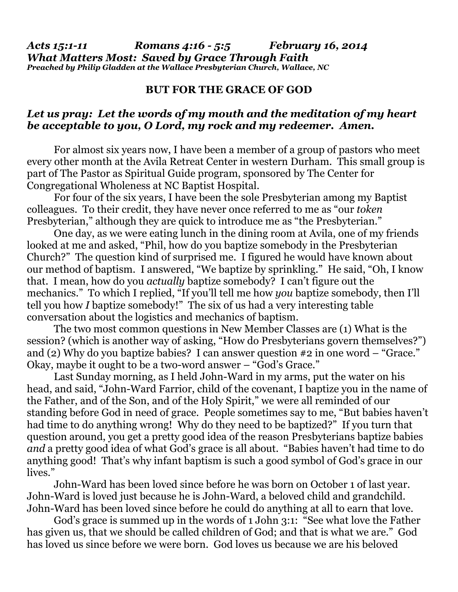## **BUT FOR THE GRACE OF GOD**

## *Let us pray: Let the words of my mouth and the meditation of my heart be acceptable to you, O Lord, my rock and my redeemer. Amen.*

 For almost six years now, I have been a member of a group of pastors who meet every other month at the Avila Retreat Center in western Durham. This small group is part of The Pastor as Spiritual Guide program, sponsored by The Center for Congregational Wholeness at NC Baptist Hospital.

 For four of the six years, I have been the sole Presbyterian among my Baptist colleagues. To their credit, they have never once referred to me as "our *token*  Presbyterian," although they are quick to introduce me as "the Presbyterian."

 One day, as we were eating lunch in the dining room at Avila, one of my friends looked at me and asked, "Phil, how do you baptize somebody in the Presbyterian Church?" The question kind of surprised me. I figured he would have known about our method of baptism. I answered, "We baptize by sprinkling." He said, "Oh, I know that. I mean, how do you *actually* baptize somebody? I can't figure out the mechanics." To which I replied, "If you'll tell me how *you* baptize somebody, then I'll tell you how *I* baptize somebody!" The six of us had a very interesting table conversation about the logistics and mechanics of baptism.

 The two most common questions in New Member Classes are (1) What is the session? (which is another way of asking, "How do Presbyterians govern themselves?") and (2) Why do you baptize babies? I can answer question #2 in one word – "Grace." Okay, maybe it ought to be a two-word answer – "God's Grace."

 Last Sunday morning, as I held John-Ward in my arms, put the water on his head, and said, "John-Ward Farrior, child of the covenant, I baptize you in the name of the Father, and of the Son, and of the Holy Spirit," we were all reminded of our standing before God in need of grace. People sometimes say to me, "But babies haven't had time to do anything wrong! Why do they need to be baptized?" If you turn that question around, you get a pretty good idea of the reason Presbyterians baptize babies *and* a pretty good idea of what God's grace is all about. "Babies haven't had time to do anything good! That's why infant baptism is such a good symbol of God's grace in our lives."

 John-Ward has been loved since before he was born on October 1 of last year. John-Ward is loved just because he is John-Ward, a beloved child and grandchild. John-Ward has been loved since before he could do anything at all to earn that love.

 God's grace is summed up in the words of 1 John 3:1: "See what love the Father has given us, that we should be called children of God; and that is what we are." God has loved us since before we were born. God loves us because we are his beloved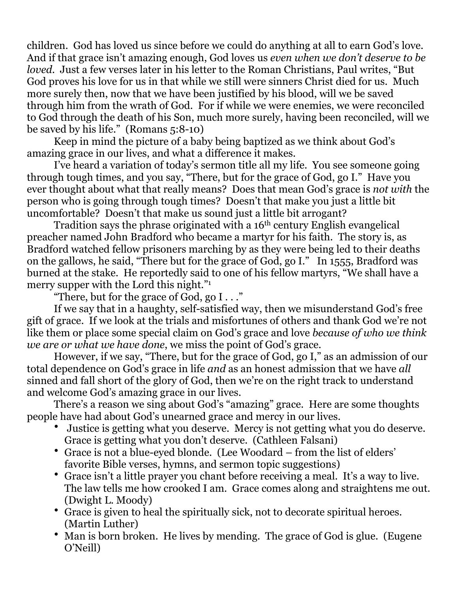children. God has loved us since before we could do anything at all to earn God's love. And if that grace isn't amazing enough, God loves us *even when we don't deserve to be loved.* Just a few verses later in his letter to the Roman Christians, Paul writes, "But God proves his love for us in that while we still were sinners Christ died for us. Much more surely then, now that we have been justified by his blood, will we be saved through him from the wrath of God. For if while we were enemies, we were reconciled to God through the death of his Son, much more surely, having been reconciled, will we be saved by his life." (Romans 5:8-10)

Keep in mind the picture of a baby being baptized as we think about God's amazing grace in our lives, and what a difference it makes.

 I've heard a variation of today's sermon title all my life. You see someone going through tough times, and you say, "There, but for the grace of God, go I." Have you ever thought about what that really means? Does that mean God's grace is *not with* the person who is going through tough times? Doesn't that make you just a little bit uncomfortable? Doesn't that make us sound just a little bit arrogant?

Tradition says the phrase originated with a 16<sup>th</sup> century English evangelical preacher named John Bradford who became a martyr for his faith. The story is, as Bradford watched fellow prisoners marching by as they were being led to their deaths on the gallows, he said, "There but for the grace of God, go I." In 1555, Bradford was burned at the stake. He reportedly said to one of his fellow martyrs, "We shall have a merry supper with the Lord this night."1

"There, but for the grace of God, go  $I \ldots$ "

 If we say that in a haughty, self-satisfied way, then we misunderstand God's free gift of grace. If we look at the trials and misfortunes of others and thank God we're not like them or place some special claim on God's grace and love *because of who we think we are or what we have done*, we miss the point of God's grace.

 However, if we say, "There, but for the grace of God, go I," as an admission of our total dependence on God's grace in life *and* as an honest admission that we have *all*  sinned and fall short of the glory of God, then we're on the right track to understand and welcome God's amazing grace in our lives.

 There's a reason we sing about God's "amazing" grace. Here are some thoughts people have had about God's unearned grace and mercy in our lives.

- Justice is getting what you deserve. Mercy is not getting what you do deserve. Grace is getting what you don't deserve. (Cathleen Falsani)
- Grace is not a blue-eyed blonde. (Lee Woodard from the list of elders' favorite Bible verses, hymns, and sermon topic suggestions)
- Grace isn't a little prayer you chant before receiving a meal. It's a way to live. The law tells me how crooked I am. Grace comes along and straightens me out. (Dwight L. Moody)
- Grace is given to heal the spiritually sick, not to decorate spiritual heroes. (Martin Luther)
- Man is born broken. He lives by mending. The grace of God is glue. (Eugene O'Neill)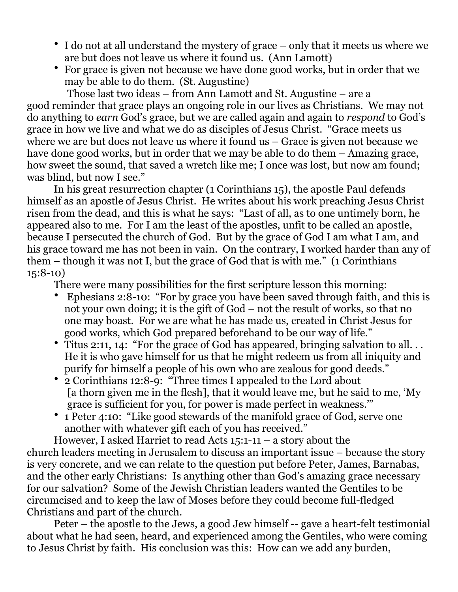- I do not at all understand the mystery of grace only that it meets us where we are but does not leave us where it found us. (Ann Lamott)
- For grace is given not because we have done good works, but in order that we may be able to do them. (St. Augustine)

Those last two ideas – from Ann Lamott and St. Augustine – are a good reminder that grace plays an ongoing role in our lives as Christians. We may not do anything to *earn* God's grace, but we are called again and again to *respond* to God's grace in how we live and what we do as disciples of Jesus Christ. "Grace meets us where we are but does not leave us where it found us – Grace is given not because we have done good works, but in order that we may be able to do them – Amazing grace, how sweet the sound, that saved a wretch like me; I once was lost, but now am found; was blind, but now I see."

In his great resurrection chapter (1 Corinthians 15), the apostle Paul defends himself as an apostle of Jesus Christ. He writes about his work preaching Jesus Christ risen from the dead, and this is what he says: "Last of all, as to one untimely born, he appeared also to me. For I am the least of the apostles, unfit to be called an apostle, because I persecuted the church of God. But by the grace of God I am what I am, and his grace toward me has not been in vain. On the contrary, I worked harder than any of them – though it was not I, but the grace of God that is with me." (1 Corinthians 15:8-10)

There were many possibilities for the first scripture lesson this morning:

- Ephesians 2:8-10: "For by grace you have been saved through faith, and this is not your own doing; it is the gift of God – not the result of works, so that no one may boast. For we are what he has made us, created in Christ Jesus for good works, which God prepared beforehand to be our way of life."
- Titus 2:11, 14: "For the grace of God has appeared, bringing salvation to all. . . He it is who gave himself for us that he might redeem us from all iniquity and purify for himself a people of his own who are zealous for good deeds."
- 2 Corinthians 12:8-9: "Three times I appealed to the Lord about [a thorn given me in the flesh], that it would leave me, but he said to me, 'My grace is sufficient for you, for power is made perfect in weakness.'"
- 1 Peter 4:10: "Like good stewards of the manifold grace of God, serve one another with whatever gift each of you has received."

However, I asked Harriet to read Acts 15:1-11 – a story about the church leaders meeting in Jerusalem to discuss an important issue – because the story is very concrete, and we can relate to the question put before Peter, James, Barnabas, and the other early Christians: Is anything other than God's amazing grace necessary for our salvation? Some of the Jewish Christian leaders wanted the Gentiles to be circumcised and to keep the law of Moses before they could become full-fledged Christians and part of the church.

 Peter – the apostle to the Jews, a good Jew himself -- gave a heart-felt testimonial about what he had seen, heard, and experienced among the Gentiles, who were coming to Jesus Christ by faith. His conclusion was this: How can we add any burden,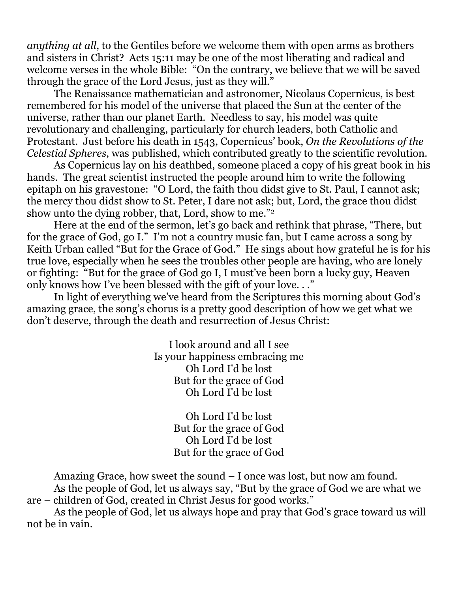*anything at all*, to the Gentiles before we welcome them with open arms as brothers and sisters in Christ? Acts 15:11 may be one of the most liberating and radical and welcome verses in the whole Bible: "On the contrary, we believe that we will be saved through the grace of the Lord Jesus, just as they will."

The Renaissance mathematician and astronomer, Nicolaus Copernicus, is best remembered for his model of the universe that placed the Sun at the center of the universe, rather than our planet Earth. Needless to say, his model was quite revolutionary and challenging, particularly for church leaders, both Catholic and Protestant. Just before his death in 1543, Copernicus' book, *On the Revolutions of the Celestial Spheres*, was published, which contributed greatly to the scientific revolution.

 As Copernicus lay on his deathbed, someone placed a copy of his great book in his hands. The great scientist instructed the people around him to write the following epitaph on his gravestone: "O Lord, the faith thou didst give to St. Paul, I cannot ask; the mercy thou didst show to St. Peter, I dare not ask; but, Lord, the grace thou didst show unto the dying robber, that, Lord, show to me."2

 Here at the end of the sermon, let's go back and rethink that phrase, "There, but for the grace of God, go I." I'm not a country music fan, but I came across a song by Keith Urban called "But for the Grace of God." He sings about how grateful he is for his true love, especially when he sees the troubles other people are having, who are lonely or fighting: "But for the grace of God go I, I must've been born a lucky guy, Heaven only knows how I've been blessed with the gift of your love. . ."

In light of everything we've heard from the Scriptures this morning about God's amazing grace, the song's chorus is a pretty good description of how we get what we don't deserve, through the death and resurrection of Jesus Christ:

> I look around and all I see Is your happiness embracing me Oh Lord I'd be lost But for the grace of God Oh Lord I'd be lost

> > Oh Lord I'd be lost But for the grace of God Oh Lord I'd be lost But for the grace of God

 Amazing Grace, how sweet the sound – I once was lost, but now am found. As the people of God, let us always say, "But by the grace of God we are what we

are – children of God, created in Christ Jesus for good works."

 As the people of God, let us always hope and pray that God's grace toward us will not be in vain.